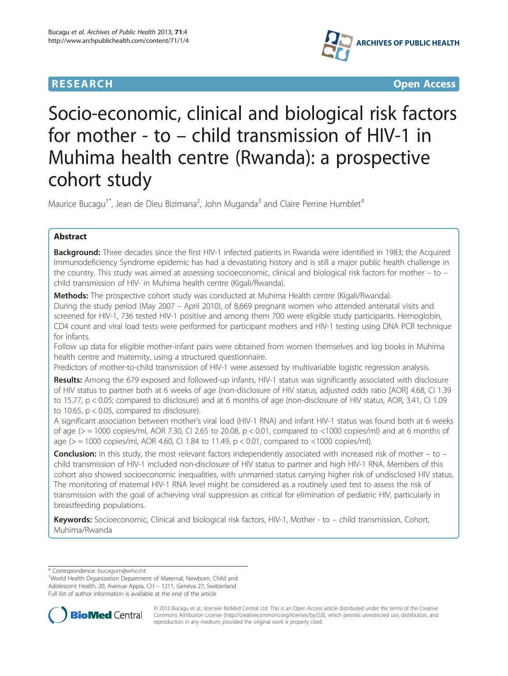# **RESEARCH CHILD CONTROL** CONTROL CONTROL CONTROL CONTROL CONTROL CONTROL CONTROL CONTROL CONTROL CONTROL CONTROL CONTROL CONTROL CONTROL CONTROL CONTROL CONTROL CONTROL CONTROL CONTROL CONTROL CONTROL CONTROL CONTROL CONTR



# Socio-economic, clinical and biological risk factors for mother - to – child transmission of HIV-1 in Muhima health centre (Rwanda): a prospective cohort study

Maurice Bucagu<sup>1\*</sup>, Jean de Dieu Bizimana<sup>2</sup>, John Muganda<sup>3</sup> and Claire Perrine Humblet<sup>4</sup>

# Abstract

**Background:** Three decades since the first HIV-1 infected patients in Rwanda were identified in 1983; the Acquired Immunodeficiency Syndrome epidemic has had a devastating history and is still a major public health challenge in the country. This study was aimed at assessing socioeconomic, clinical and biological risk factors for mother – to – child transmission of HIV- in Muhima health centre (Kigali/Rwanda).

Methods: The prospective cohort study was conducted at Muhima Health centre (Kigali/Rwanda).

During the study period (May 2007 – April 2010), of 8,669 pregnant women who attended antenatal visits and screened for HIV-1, 736 tested HIV-1 positive and among them 700 were eligible study participants. Hemoglobin, CD4 count and viral load tests were performed for participant mothers and HIV-1 testing using DNA PCR technique for infants.

Follow up data for eligible mother-infant pairs were obtained from women themselves and log books in Muhima health centre and maternity, using a structured questionnaire.

Predictors of mother-to-child transmission of HIV-1 were assessed by multivariable logistic regression analysis.

Results: Among the 679 exposed and followed-up infants, HIV-1 status was significantly associated with disclosure of HIV status to partner both at 6 weeks of age (non-disclosure of HIV status, adjusted odds ratio [AOR] 4.68, CI 1.39 to 15.77, p < 0.05; compared to disclosure) and at 6 months of age (non-disclosure of HIV status, AOR, 3.41, CI 1.09 to 10.65, p < 0.05, compared to disclosure).

A significant association between mother's viral load (HIV-1 RNA) and infant HIV-1 status was found both at 6 weeks of age (> = 1000 copies/ml, AOR 7.30, CI 2.65 to 20.08, p < 0.01, compared to <1000 copies/ml) and at 6 months of age (> = 1000 copies/ml, AOR 4.60, CI 1.84 to 11.49, p < 0.01, compared to <1000 copies/ml).

Conclusion: In this study, the most relevant factors independently associated with increased risk of mother – to – child transmission of HIV-1 included non-disclosure of HIV status to partner and high HIV-1 RNA. Members of this cohort also showed socioeconomic inequalities, with unmarried status carrying higher risk of undisclosed HIV status. The monitoring of maternal HIV-1 RNA level might be considered as a routinely used test to assess the risk of transmission with the goal of achieving viral suppression as critical for elimination of pediatric HIV, particularly in breastfeeding populations.

Keywords: Socioeconomic, Clinical and biological risk factors, HIV-1, Mother - to – child transmission, Cohort, Muhima/Rwanda

\* Correspondence: [bucagum@who.int](mailto:bucagum@who.int) <sup>1</sup>

<sup>1</sup>World Health Organization Department of Maternal, Newborn, Child and Adolescent Health, 20, Avenue Appia, CH – 1211, Geneva 27, Switzerland Full list of author information is available at the end of the article



© 2013 Bucagu et al.; licensee BioMed Central Ltd. This is an Open Access article distributed under the terms of the Creative Commons Attribution License [\(http://creativecommons.org/licenses/by/2.0\)](http://creativecommons.org/licenses/by/2.0), which permits unrestricted use, distribution, and reproduction in any medium, provided the original work is properly cited.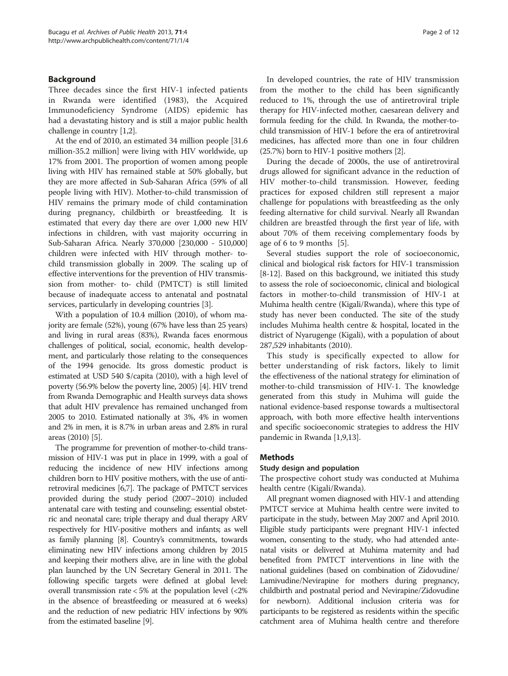# Background

Three decades since the first HIV-1 infected patients in Rwanda were identified (1983), the Acquired Immunodeficiency Syndrome (AIDS) epidemic has had a devastating history and is still a major public health challenge in country [[1,2](#page-9-0)].

At the end of 2010, an estimated 34 million people [31.6 million-35.2 million] were living with HIV worldwide, up 17% from 2001. The proportion of women among people living with HIV has remained stable at 50% globally, but they are more affected in Sub-Saharan Africa (59% of all people living with HIV). Mother-to-child transmission of HIV remains the primary mode of child contamination during pregnancy, childbirth or breastfeeding. It is estimated that every day there are over 1,000 new HIV infections in children, with vast majority occurring in Sub-Saharan Africa. Nearly 370,000 [230,000 - 510,000] children were infected with HIV through mother- tochild transmission globally in 2009. The scaling up of effective interventions for the prevention of HIV transmission from mother- to- child (PMTCT) is still limited because of inadequate access to antenatal and postnatal services, particularly in developing countries [[3\]](#page-9-0).

With a population of 10.4 million (2010), of whom majority are female (52%), young (67% have less than 25 years) and living in rural areas (83%), Rwanda faces enormous challenges of political, social, economic, health development, and particularly those relating to the consequences of the 1994 genocide. Its gross domestic product is estimated at USD 540 \$/capita (2010), with a high level of poverty (56.9% below the poverty line, 2005) [\[4\]](#page-9-0). HIV trend from Rwanda Demographic and Health surveys data shows that adult HIV prevalence has remained unchanged from 2005 to 2010. Estimated nationally at 3%, 4% in women and 2% in men, it is 8.7% in urban areas and 2.8% in rural areas (2010) [\[5\]](#page-9-0).

The programme for prevention of mother-to-child transmission of HIV-1 was put in place in 1999, with a goal of reducing the incidence of new HIV infections among children born to HIV positive mothers, with the use of antiretroviral medicines [\[6,7](#page-9-0)]. The package of PMTCT services provided during the study period (2007–2010) included antenatal care with testing and counseling; essential obstetric and neonatal care; triple therapy and dual therapy ARV respectively for HIV-positive mothers and infants; as well as family planning [[8](#page-9-0)]. Country's commitments, towards eliminating new HIV infections among children by 2015 and keeping their mothers alive, are in line with the global plan launched by the UN Secretary General in 2011. The following specific targets were defined at global level: overall transmission rate  $<$  5% at the population level  $\left(<$  2% in the absence of breastfeeding or measured at 6 weeks) and the reduction of new pediatric HIV infections by 90% from the estimated baseline [\[9](#page-9-0)].

In developed countries, the rate of HIV transmission from the mother to the child has been significantly reduced to 1%, through the use of antiretroviral triple therapy for HIV-infected mother, caesarean delivery and formula feeding for the child. In Rwanda, the mother-tochild transmission of HIV-1 before the era of antiretroviral medicines, has affected more than one in four children (25.7%) born to HIV-1 positive mothers [[2](#page-9-0)].

During the decade of 2000s, the use of antiretroviral drugs allowed for significant advance in the reduction of HIV mother-to-child transmission. However, feeding practices for exposed children still represent a major challenge for populations with breastfeeding as the only feeding alternative for child survival. Nearly all Rwandan children are breastfed through the first year of life, with about 70% of them receiving complementary foods by age of 6 to 9 months [\[5\]](#page-9-0).

Several studies support the role of socioeconomic, clinical and biological risk factors for HIV-1 transmission [[8-12\]](#page-9-0). Based on this background, we initiated this study to assess the role of socioeconomic, clinical and biological factors in mother-to-child transmission of HIV-1 at Muhima health centre (Kigali/Rwanda), where this type of study has never been conducted. The site of the study includes Muhima health centre & hospital, located in the district of Nyarugenge (Kigali), with a population of about 287,529 inhabitants (2010).

This study is specifically expected to allow for better understanding of risk factors, likely to limit the effectiveness of the national strategy for elimination of mother-to-child transmission of HIV-1. The knowledge generated from this study in Muhima will guide the national evidence-based response towards a multisectoral approach, with both more effective health interventions and specific socioeconomic strategies to address the HIV pandemic in Rwanda [\[1,9,13\]](#page-9-0).

# **Methods**

# Study design and population

The prospective cohort study was conducted at Muhima health centre (Kigali/Rwanda).

All pregnant women diagnosed with HIV-1 and attending PMTCT service at Muhima health centre were invited to participate in the study, between May 2007 and April 2010. Eligible study participants were pregnant HIV-1 infected women, consenting to the study, who had attended antenatal visits or delivered at Muhima maternity and had benefited from PMTCT interventions in line with the national guidelines (based on combination of Zidovudine/ Lamivudine/Nevirapine for mothers during pregnancy, childbirth and postnatal period and Nevirapine/Zidovudine for newborn). Additional inclusion criteria was for participants to be registered as residents within the specific catchment area of Muhima health centre and therefore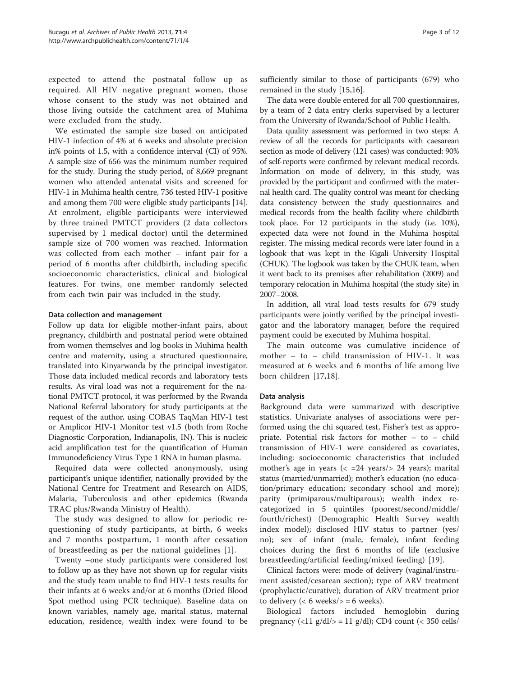expected to attend the postnatal follow up as required. All HIV negative pregnant women, those whose consent to the study was not obtained and those living outside the catchment area of Muhima were excluded from the study.

We estimated the sample size based on anticipated HIV-1 infection of 4% at 6 weeks and absolute precision in% points of 1.5, with a confidence interval (CI) of 95%. A sample size of 656 was the minimum number required for the study. During the study period, of 8,669 pregnant women who attended antenatal visits and screened for HIV-1 in Muhima health centre, 736 tested HIV-1 positive and among them 700 were eligible study participants [[14](#page-9-0)]. At enrolment, eligible participants were interviewed by three trained PMTCT providers (2 data collectors supervised by 1 medical doctor) until the determined sample size of 700 women was reached. Information was collected from each mother – infant pair for a period of 6 months after childbirth, including specific socioeconomic characteristics, clinical and biological features. For twins, one member randomly selected from each twin pair was included in the study.

# Data collection and management

Follow up data for eligible mother-infant pairs, about pregnancy, childbirth and postnatal period were obtained from women themselves and log books in Muhima health centre and maternity, using a structured questionnaire, translated into Kinyarwanda by the principal investigator. Those data included medical records and laboratory tests results. As viral load was not a requirement for the national PMTCT protocol, it was performed by the Rwanda National Referral laboratory for study participants at the request of the author, using COBAS TaqMan HIV-1 test or Amplicor HIV-1 Monitor test v1.5 (both from Roche Diagnostic Corporation, Indianapolis, IN). This is nucleic acid amplification test for the quantification of Human Immunodeficiency Virus Type 1 RNA in human plasma.

Required data were collected anonymously, using participant's unique identifier, nationally provided by the National Centre for Treatment and Research on AIDS, Malaria, Tuberculosis and other epidemics (Rwanda TRAC plus/Rwanda Ministry of Health).

The study was designed to allow for periodic requestioning of study participants, at birth, 6 weeks and 7 months postpartum, 1 month after cessation of breastfeeding as per the national guidelines [[1](#page-9-0)].

Twenty –one study participants were considered lost to follow up as they have not shown up for regular visits and the study team unable to find HIV-1 tests results for their infants at 6 weeks and/or at 6 months (Dried Blood Spot method using PCR technique). Baseline data on known variables, namely age, marital status, maternal education, residence, wealth index were found to be sufficiently similar to those of participants (679) who remained in the study [[15](#page-10-0),[16](#page-10-0)].

The data were double entered for all 700 questionnaires, by a team of 2 data entry clerks supervised by a lecturer from the University of Rwanda/School of Public Health.

Data quality assessment was performed in two steps: A review of all the records for participants with caesarean section as mode of delivery (121 cases) was conducted: 90% of self-reports were confirmed by relevant medical records. Information on mode of delivery, in this study, was provided by the participant and confirmed with the maternal health card. The quality control was meant for checking data consistency between the study questionnaires and medical records from the health facility where childbirth took place. For 12 participants in the study (i.e. 10%), expected data were not found in the Muhima hospital register. The missing medical records were later found in a logbook that was kept in the Kigali University Hospital (CHUK). The logbook was taken by the CHUK team, when it went back to its premises after rehabilitation (2009) and temporary relocation in Muhima hospital (the study site) in 2007–2008.

In addition, all viral load tests results for 679 study participants were jointly verified by the principal investigator and the laboratory manager, before the required payment could be executed by Muhima hospital.

The main outcome was cumulative incidence of mother – to – child transmission of HIV-1. It was measured at 6 weeks and 6 months of life among live born children [[17,18](#page-10-0)].

# Data analysis

Background data were summarized with descriptive statistics. Univariate analyses of associations were performed using the chi squared test, Fisher's test as appropriate. Potential risk factors for mother – to – child transmission of HIV-1 were considered as covariates, including: socioeconomic characteristics that included mother's age in years  $\langle \langle 124 \rangle$  years  $\rangle$  24 years); marital status (married/unmarried); mother's education (no education/primary education; secondary school and more); parity (primiparous/multiparous); wealth index recategorized in 5 quintiles (poorest/second/middle/ fourth/richest) (Demographic Health Survey wealth index model); disclosed HIV status to partner (yes/ no); sex of infant (male, female), infant feeding choices during the first 6 months of life (exclusive breastfeeding/artificial feeding/mixed feeding) [[19\]](#page-10-0).

Clinical factors were: mode of delivery (vaginal/instrument assisted/cesarean section); type of ARV treatment (prophylactic/curative); duration of ARV treatment prior to delivery ( $<$  6 weeks/ $>$  = 6 weeks).

Biological factors included hemoglobin during pregnancy  $\langle$  <11 g/dl/> = 11 g/dl); CD4 count  $\langle$  < 350 cells/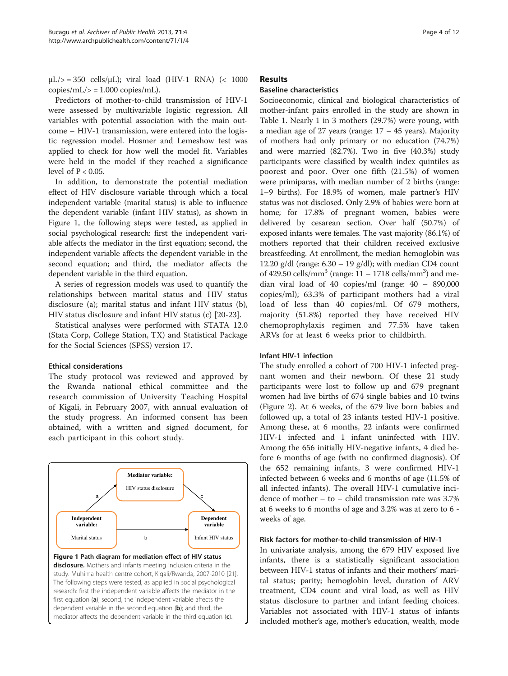<span id="page-3-0"></span> $\mu$ L/ $>$  = 350 cells/ $\mu$ L); viral load (HIV-1 RNA) (< 1000  $copies/mL$  = 1.000 copies/mL).

Predictors of mother-to-child transmission of HIV-1 were assessed by multivariable logistic regression. All variables with potential association with the main outcome – HIV-1 transmission, were entered into the logistic regression model. Hosmer and Lemeshow test was applied to check for how well the model fit. Variables were held in the model if they reached a significance level of  $P < 0.05$ .

In addition, to demonstrate the potential mediation effect of HIV disclosure variable through which a focal independent variable (marital status) is able to influence the dependent variable (infant HIV status), as shown in Figure 1, the following steps were tested, as applied in social psychological research: first the independent variable affects the mediator in the first equation; second, the independent variable affects the dependent variable in the second equation; and third, the mediator affects the dependent variable in the third equation.

A series of regression models was used to quantify the relationships between marital status and HIV status disclosure (a); marital status and infant HIV status (b), HIV status disclosure and infant HIV status (c) [[20](#page-10-0)-[23\]](#page-10-0).

Statistical analyses were performed with STATA 12.0 (Stata Corp, College Station, TX) and Statistical Package for the Social Sciences (SPSS) version 17.

# Ethical considerations

The study protocol was reviewed and approved by the Rwanda national ethical committee and the research commission of University Teaching Hospital of Kigali, in February 2007, with annual evaluation of the study progress. An informed consent has been obtained, with a written and signed document, for each participant in this cohort study.



disclosure. Mothers and infants meeting inclusion criteria in the study. Muhima health centre cohort, Kigali/Rwanda, 2007-2010 [[21\]](#page-10-0). The following steps were tested, as applied in social psychological research: first the independent variable affects the mediator in the first equation (a); second, the independent variable affects the dependent variable in the second equation (b); and third, the mediator affects the dependent variable in the third equation (c).

# Results

# Baseline characteristics

Socioeconomic, clinical and biological characteristics of mother-infant pairs enrolled in the study are shown in Table [1.](#page-4-0) Nearly 1 in 3 mothers (29.7%) were young, with a median age of 27 years (range:  $17 - 45$  years). Majority of mothers had only primary or no education (74.7%) and were married (82.7%). Two in five (40.3%) study participants were classified by wealth index quintiles as poorest and poor. Over one fifth (21.5%) of women were primiparas, with median number of 2 births (range: 1–9 births). For 18.9% of women, male partner's HIV status was not disclosed. Only 2.9% of babies were born at home; for 17.8% of pregnant women, babies were delivered by cesarean section. Over half (50.7%) of exposed infants were females. The vast majority (86.1%) of mothers reported that their children received exclusive breastfeeding. At enrollment, the median hemoglobin was 12.20 g/dl (range:  $6.30 - 19$  g/dl); with median CD4 count of 429.50 cells/mm<sup>3</sup> (range:  $11 - 1718$  cells/mm<sup>3</sup>) and median viral load of 40 copies/ml (range: 40 – 890,000 copies/ml); 63.3% of participant mothers had a viral load of less than 40 copies/ml. Of 679 mothers, majority (51.8%) reported they have received HIV chemoprophylaxis regimen and 77.5% have taken ARVs for at least 6 weeks prior to childbirth.

# Infant HIV-1 infection

The study enrolled a cohort of 700 HIV-1 infected pregnant women and their newborn. Of these 21 study participants were lost to follow up and 679 pregnant women had live births of 674 single babies and 10 twins (Figure [2\)](#page-5-0). At 6 weeks, of the 679 live born babies and followed up, a total of 23 infants tested HIV-1 positive. Among these, at 6 months, 22 infants were confirmed HIV-1 infected and 1 infant uninfected with HIV. Among the 656 initially HIV-negative infants, 4 died before 6 months of age (with no confirmed diagnosis). Of the 652 remaining infants, 3 were confirmed HIV-1 infected between 6 weeks and 6 months of age (11.5% of all infected infants). The overall HIV-1 cumulative incidence of mother – to – child transmission rate was 3.7% at 6 weeks to 6 months of age and 3.2% was at zero to 6 weeks of age.

# Risk factors for mother-to-child transmission of HIV-1

In univariate analysis, among the 679 HIV exposed live infants, there is a statistically significant association between HIV-1 status of infants and their mothers' marital status; parity; hemoglobin level, duration of ARV treatment, CD4 count and viral load, as well as HIV status disclosure to partner and infant feeding choices. Variables not associated with HIV-1 status of infants included mother's age, mother's education, wealth, mode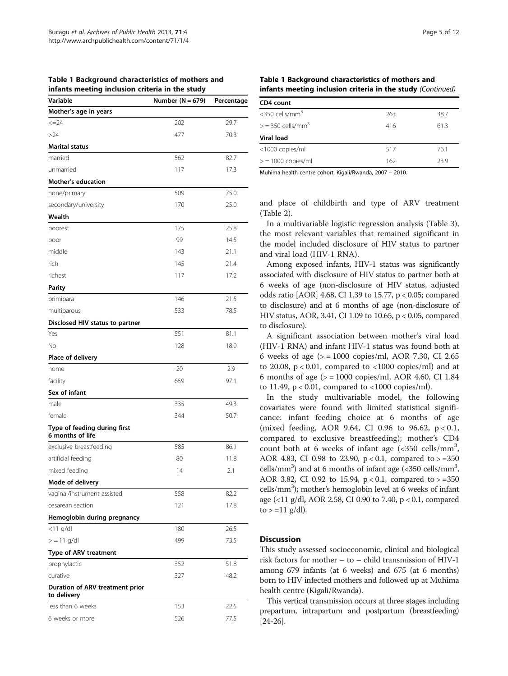| <br>Variable                                   | Number ( $N = 679$ ) | Percentage |
|------------------------------------------------|----------------------|------------|
| Mother's age in years                          |                      |            |
| $\leq$ = 24                                    | 202                  | 29.7       |
| >24                                            | 477                  | 70.3       |
| <b>Marital status</b>                          |                      |            |
| married                                        | 562                  | 82.7       |
| unmarried                                      | 117                  | 17.3       |
| <b>Mother's education</b>                      |                      |            |
| none/primary                                   | 509                  | 75.0       |
| secondary/university                           | 170                  | 25.0       |
| Wealth                                         |                      |            |
| poorest                                        | 175                  | 25.8       |
| poor                                           | 99                   | 14.5       |
| middle                                         | 143                  | 21.1       |
| rich                                           | 145                  | 21.4       |
| richest                                        | 117                  | 17.2       |
| <b>Parity</b>                                  |                      |            |
| primipara                                      | 146                  | 21.5       |
| multiparous                                    | 533                  | 78.5       |
| Disclosed HIV status to partner                |                      |            |
| Yes                                            | 551                  | 81.1       |
| No                                             | 128                  | 18.9       |
| Place of delivery                              |                      |            |
| home                                           | 20                   | 2.9        |
| facility                                       | 659                  | 97.1       |
| Sex of infant                                  |                      |            |
| male                                           | 335                  | 49.3       |
| female                                         | 344                  | 50.7       |
| Type of feeding during first                   |                      |            |
| 6 months of life                               |                      |            |
| exclusive breastfeeding                        | 585                  | 86.1       |
| artificial feeding                             | 80                   | 11.8       |
| mixed feeding                                  | 14                   | 2.1        |
| Mode of delivery                               |                      |            |
| vaginal/instrument assisted                    | 558                  | 82.2       |
| cesarean section                               | 121                  | 17.8       |
| Hemoglobin during pregnancy                    |                      |            |
| $<$ 11 g/dl                                    | 180                  | 26.5       |
| $>$ = 11 g/dl                                  | 499                  | 73.5       |
| Type of ARV treatment                          |                      |            |
| prophylactic                                   | 352                  | 51.8       |
| curative                                       | 327                  | 48.2       |
| Duration of ARV treatment prior<br>to delivery |                      |            |
| less than 6 weeks                              | 153                  | 22.5       |
| 6 weeks or more                                | 526                  | 77.5       |

<span id="page-4-0"></span>Table 1 Background characteristics of mothers and infants meeting inclusion criteria in the study

# Table 1 Background characteristics of mothers and infants meeting inclusion criteria in the study (Continued)

| CD4 count                       |     |      |
|---------------------------------|-----|------|
| $<$ 350 cells/mm $3$            | 263 | 38.7 |
| $>$ = 350 cells/mm <sup>3</sup> | 416 | 61.3 |
| <b>Viral load</b>               |     |      |
| <1000 copies/ml                 | 517 | 76.1 |
| $>$ = 1000 copies/ml            | 162 | 23.9 |
|                                 |     |      |

Muhima health centre cohort, Kigali/Rwanda, 2007 – 2010.

and place of childbirth and type of ARV treatment (Table [2\)](#page-6-0).

In a multivariable logistic regression analysis (Table [3](#page-8-0)), the most relevant variables that remained significant in the model included disclosure of HIV status to partner and viral load (HIV-1 RNA).

Among exposed infants, HIV-1 status was significantly associated with disclosure of HIV status to partner both at 6 weeks of age (non-disclosure of HIV status, adjusted odds ratio [AOR] 4.68, CI 1.39 to 15.77, p < 0.05; compared to disclosure) and at 6 months of age (non-disclosure of HIV status, AOR, 3.41, CI 1.09 to 10.65, p < 0.05, compared to disclosure).

A significant association between mother's viral load (HIV-1 RNA) and infant HIV-1 status was found both at 6 weeks of age ( $> = 1000$  copies/ml, AOR 7.30, CI 2.65 to 20.08,  $p < 0.01$ , compared to  $\langle 1000 \text{ copies/ml} \rangle$  and at 6 months of age ( $>$  = 1000 copies/ml, AOR 4.60, CI 1.84 to 11.49, p < 0.01, compared to <1000 copies/ml).

In the study multivariable model, the following covariates were found with limited statistical significance: infant feeding choice at 6 months of age (mixed feeding, AOR 9.64, CI 0.96 to 96.62, p < 0.1, compared to exclusive breastfeeding); mother's CD4 count both at 6 weeks of infant age  $( $350 \text{ cells/mm}^3$$ AOR 4.83, CI 0.98 to 23.90,  $p < 0.1$ , compared to  $> = 350$ cells/mm<sup>3</sup>) and at 6 months of infant age (<350 cells/mm<sup>3</sup>, AOR 3.82, CI 0.92 to 15.94,  $p < 0.1$ , compared to  $> = 350$ cells/mm<sup>3</sup>); mother's hemoglobin level at 6 weeks of infant age (<11 g/dl, AOR 2.58, CI 0.90 to 7.40, p < 0.1, compared  $to$  > =11 g/dl).

# **Discussion**

This study assessed socioeconomic, clinical and biological risk factors for mother – to – child transmission of HIV-1 among 679 infants (at 6 weeks) and 675 (at 6 months) born to HIV infected mothers and followed up at Muhima health centre (Kigali/Rwanda).

This vertical transmission occurs at three stages including prepartum, intrapartum and postpartum (breastfeeding) [[24](#page-10-0)-[26\]](#page-10-0).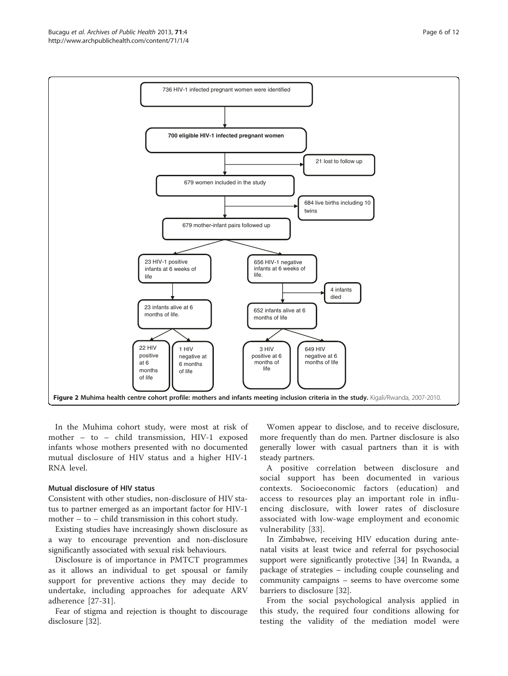<span id="page-5-0"></span>

In the Muhima cohort study, were most at risk of mother – to – child transmission, HIV-1 exposed infants whose mothers presented with no documented mutual disclosure of HIV status and a higher HIV-1 RNA level.

# Mutual disclosure of HIV status

Consistent with other studies, non-disclosure of HIV status to partner emerged as an important factor for HIV-1 mother – to – child transmission in this cohort study.

Existing studies have increasingly shown disclosure as a way to encourage prevention and non-disclosure significantly associated with sexual risk behaviours.

Disclosure is of importance in PMTCT programmes as it allows an individual to get spousal or family support for preventive actions they may decide to undertake, including approaches for adequate ARV adherence [\[27](#page-10-0)-[31\]](#page-10-0).

Fear of stigma and rejection is thought to discourage disclosure [[32](#page-10-0)].

Women appear to disclose, and to receive disclosure, more frequently than do men. Partner disclosure is also generally lower with casual partners than it is with steady partners.

A positive correlation between disclosure and social support has been documented in various contexts. Socioeconomic factors (education) and access to resources play an important role in influencing disclosure, with lower rates of disclosure associated with low-wage employment and economic vulnerability [[33](#page-10-0)].

In Zimbabwe, receiving HIV education during antenatal visits at least twice and referral for psychosocial support were significantly protective [\[34\]](#page-10-0) In Rwanda, a package of strategies – including couple counseling and community campaigns – seems to have overcome some barriers to disclosure [\[32\]](#page-10-0).

From the social psychological analysis applied in this study, the required four conditions allowing for testing the validity of the mediation model were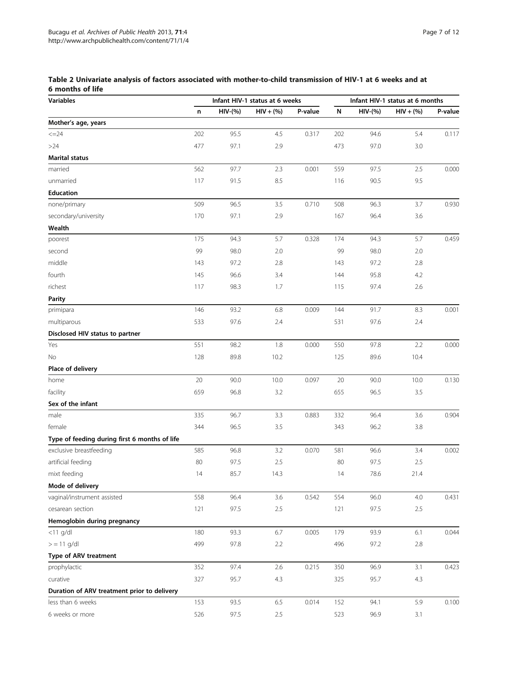<span id="page-6-0"></span>

| Table 2 Univariate analysis of factors associated with mother-to-child transmission of HIV-1 at 6 weeks and at |  |
|----------------------------------------------------------------------------------------------------------------|--|
| 6 months of life                                                                                               |  |

| <b>Variables</b>                              | Infant HIV-1 status at 6 weeks |            |             | Infant HIV-1 status at 6 months |     |            |             |         |
|-----------------------------------------------|--------------------------------|------------|-------------|---------------------------------|-----|------------|-------------|---------|
|                                               | n                              | $HIV-(\%)$ | $HIV + (%)$ | P-value                         | N   | $HIV-(\%)$ | $HIV + (%)$ | P-value |
| Mother's age, years                           |                                |            |             |                                 |     |            |             |         |
| $\leq$ $=$ 24                                 | 202                            | 95.5       | 4.5         | 0.317                           | 202 | 94.6       | 5.4         | 0.117   |
| $>24$                                         | 477                            | 97.1       | 2.9         |                                 | 473 | 97.0       | 3.0         |         |
| <b>Marital status</b>                         |                                |            |             |                                 |     |            |             |         |
| married                                       | 562                            | 97.7       | 2.3         | 0.001                           | 559 | 97.5       | 2.5         | 0.000   |
| unmarried                                     | 117                            | 91.5       | 8.5         |                                 | 116 | 90.5       | 9.5         |         |
| <b>Education</b>                              |                                |            |             |                                 |     |            |             |         |
| none/primary                                  | 509                            | 96.5       | 3.5         | 0.710                           | 508 | 96.3       | 3.7         | 0.930   |
| secondary/university                          | 170                            | 97.1       | 2.9         |                                 | 167 | 96.4       | 3.6         |         |
| Wealth                                        |                                |            |             |                                 |     |            |             |         |
| poorest                                       | 175                            | 94.3       | 5.7         | 0.328                           | 174 | 94.3       | 5.7         | 0.459   |
| second                                        | 99                             | 98.0       | 2.0         |                                 | 99  | 98.0       | 2.0         |         |
| middle                                        | 143                            | 97.2       | 2.8         |                                 | 143 | 97.2       | 2.8         |         |
| fourth                                        | 145                            | 96.6       | 3.4         |                                 | 144 | 95.8       | 4.2         |         |
| richest                                       | 117                            | 98.3       | 1.7         |                                 | 115 | 97.4       | 2.6         |         |
| Parity                                        |                                |            |             |                                 |     |            |             |         |
| primipara                                     | 146                            | 93.2       | 6.8         | 0.009                           | 144 | 91.7       | 8.3         | 0.001   |
| multiparous                                   | 533                            | 97.6       | 2.4         |                                 | 531 | 97.6       | 2.4         |         |
| Disclosed HIV status to partner               |                                |            |             |                                 |     |            |             |         |
| Yes                                           | 551                            | 98.2       | 1.8         | 0.000                           | 550 | 97.8       | 2.2         | 0.000   |
| No                                            | 128                            | 89.8       | 10.2        |                                 | 125 | 89.6       | 10.4        |         |
| Place of delivery                             |                                |            |             |                                 |     |            |             |         |
| home                                          | 20                             | 90.0       | 10.0        | 0.097                           | 20  | 90.0       | 10.0        | 0.130   |
| facility                                      | 659                            | 96.8       | 3.2         |                                 | 655 | 96.5       | 3.5         |         |
| Sex of the infant                             |                                |            |             |                                 |     |            |             |         |
| male                                          | 335                            | 96.7       | 3.3         | 0.883                           | 332 | 96.4       | 3.6         | 0.904   |
| female                                        | 344                            | 96.5       | 3.5         |                                 | 343 | 96.2       | 3.8         |         |
| Type of feeding during first 6 months of life |                                |            |             |                                 |     |            |             |         |
| exclusive breastfeeding                       | 585                            | 96.8       | 3.2         | 0.070                           | 581 | 96.6       | 3.4         | 0.002   |
| artificial feeding                            | 80                             | 97.5       | 2.5         |                                 | 80  | 97.5       | 2.5         |         |
| mixt feeding                                  | 14                             | 85.7       | 14.3        |                                 | 14  | 78.6       | 21.4        |         |
| Mode of delivery                              |                                |            |             |                                 |     |            |             |         |
| vaginal/instrument assisted                   | 558                            | 96.4       | 3.6         | 0.542                           | 554 | 96.0       | 4.0         | 0.431   |
| cesarean section                              | 121                            | 97.5       | 2.5         |                                 | 121 | 97.5       | 2.5         |         |
| Hemoglobin during pregnancy                   |                                |            |             |                                 |     |            |             |         |
| $<$ 11 g/dl                                   | 180                            | 93.3       | $6.7\,$     | 0.005                           | 179 | 93.9       | 6.1         | 0.044   |
| $>$ = 11 g/dl                                 | 499                            | 97.8       | 2.2         |                                 | 496 | 97.2       | $2.8\,$     |         |
| Type of ARV treatment                         |                                |            |             |                                 |     |            |             |         |
| prophylactic                                  | 352                            | 97.4       | 2.6         | 0.215                           | 350 | 96.9       | 3.1         | 0.423   |
| curative                                      | 327                            | 95.7       | 4.3         |                                 | 325 | 95.7       | 4.3         |         |
| Duration of ARV treatment prior to delivery   |                                |            |             |                                 |     |            |             |         |
| less than 6 weeks                             | 153                            | 93.5       | 6.5         | 0.014                           | 152 | 94.1       | 5.9         | 0.100   |
| 6 weeks or more                               | 526                            | 97.5       | 2.5         |                                 | 523 | 96.9       | 3.1         |         |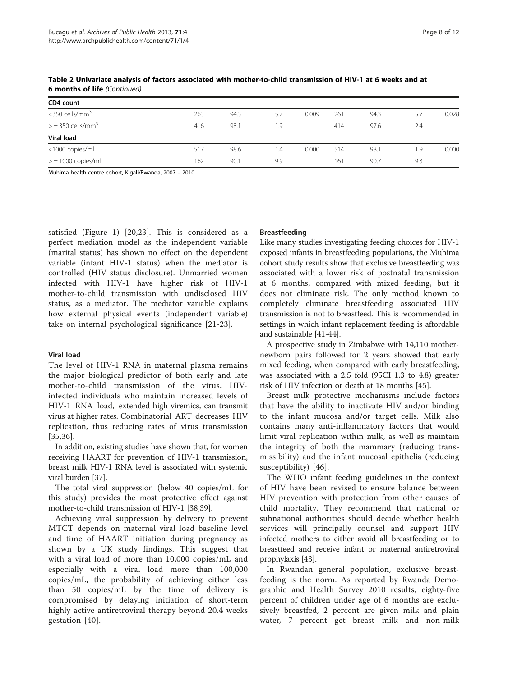| 263 | 94.3 | 5.7 | 0.009 | 261 | 94.3 | 5.7 | 0.028 |
|-----|------|-----|-------|-----|------|-----|-------|
| 416 | 98.1 | 1.9 |       | 414 | 97.6 | 2.4 |       |
|     |      |     |       |     |      |     |       |
| 517 | 98.6 | ۱.4 | 0.000 | 514 | 98.1 | 1.9 | 0.000 |
| 162 | 90.1 | 9.9 |       | 161 | 90.7 | 9.3 |       |
|     |      |     |       |     |      |     |       |

Table 2 Univariate analysis of factors associated with mother-to-child transmission of HIV-1 at 6 weeks and at 6 months of life (Continued)

Muhima health centre cohort, Kigali/Rwanda, 2007 – 2010.

satisfied (Figure [1\)](#page-3-0) [[20,23\]](#page-10-0). This is considered as a perfect mediation model as the independent variable (marital status) has shown no effect on the dependent variable (infant HIV-1 status) when the mediator is controlled (HIV status disclosure). Unmarried women infected with HIV-1 have higher risk of HIV-1 mother-to-child transmission with undisclosed HIV status, as a mediator. The mediator variable explains how external physical events (independent variable) take on internal psychological significance [[21](#page-10-0)-[23\]](#page-10-0).

#### Viral load

The level of HIV-1 RNA in maternal plasma remains the major biological predictor of both early and late mother-to-child transmission of the virus. HIVinfected individuals who maintain increased levels of HIV-1 RNA load, extended high viremics, can transmit virus at higher rates. Combinatorial ART decreases HIV replication, thus reducing rates of virus transmission [[35,36](#page-10-0)].

In addition, existing studies have shown that, for women receiving HAART for prevention of HIV-1 transmission, breast milk HIV-1 RNA level is associated with systemic viral burden [[37\]](#page-10-0).

The total viral suppression (below 40 copies/mL for this study) provides the most protective effect against mother-to-child transmission of HIV-1 [\[38,39](#page-10-0)].

Achieving viral suppression by delivery to prevent MTCT depends on maternal viral load baseline level and time of HAART initiation during pregnancy as shown by a UK study findings. This suggest that with a viral load of more than 10,000 copies/mL and especially with a viral load more than 100,000 copies/mL, the probability of achieving either less than 50 copies/mL by the time of delivery is compromised by delaying initiation of short-term highly active antiretroviral therapy beyond 20.4 weeks gestation [\[40\]](#page-10-0).

#### Breastfeeding

Like many studies investigating feeding choices for HIV-1 exposed infants in breastfeeding populations, the Muhima cohort study results show that exclusive breastfeeding was associated with a lower risk of postnatal transmission at 6 months, compared with mixed feeding, but it does not eliminate risk. The only method known to completely eliminate breastfeeding associated HIV transmission is not to breastfeed. This is recommended in settings in which infant replacement feeding is affordable and sustainable [[41](#page-10-0)-[44\]](#page-10-0).

A prospective study in Zimbabwe with 14,110 mothernewborn pairs followed for 2 years showed that early mixed feeding, when compared with early breastfeeding, was associated with a 2.5 fold (95CI 1.3 to 4.8) greater risk of HIV infection or death at 18 months [[45](#page-10-0)].

Breast milk protective mechanisms include factors that have the ability to inactivate HIV and/or binding to the infant mucosa and/or target cells. Milk also contains many anti-inflammatory factors that would limit viral replication within milk, as well as maintain the integrity of both the mammary (reducing transmissibility) and the infant mucosal epithelia (reducing susceptibility) [\[46](#page-10-0)].

The WHO infant feeding guidelines in the context of HIV have been revised to ensure balance between HIV prevention with protection from other causes of child mortality. They recommend that national or subnational authorities should decide whether health services will principally counsel and support HIV infected mothers to either avoid all breastfeeding or to breastfeed and receive infant or maternal antiretroviral prophylaxis [[43](#page-10-0)].

In Rwandan general population, exclusive breastfeeding is the norm. As reported by Rwanda Demographic and Health Survey 2010 results, eighty-five percent of children under age of 6 months are exclusively breastfed, 2 percent are given milk and plain water, 7 percent get breast milk and non-milk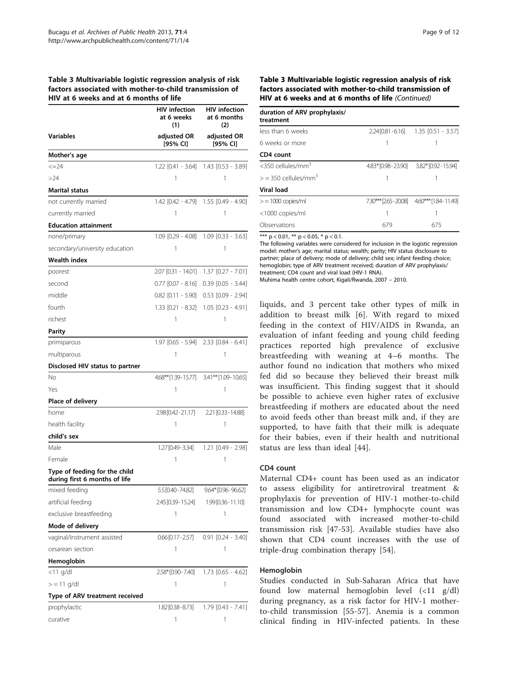### <span id="page-8-0"></span>Table 3 Multivariable logistic regression analysis of risk factors associated with mother-to-child transmission of HIV at 6 weeks and at 6 months of life

|                                                                | <b>HIV</b> infection<br>at 6 weeks<br>(1) | <b>HIV</b> infection<br>at 6 months<br>(2)<br>adjusted OR<br>[95% CI] |  |  |
|----------------------------------------------------------------|-------------------------------------------|-----------------------------------------------------------------------|--|--|
| Variables                                                      | adjusted OR<br>[95% CI]                   |                                                                       |  |  |
| Mother's age                                                   |                                           |                                                                       |  |  |
| $\leq$ = 24                                                    |                                           | 1.22 [0.41 - 3.64] 1.43 [0.53 - 3.89]                                 |  |  |
| >24                                                            | 1                                         | 1                                                                     |  |  |
| Marital status                                                 |                                           |                                                                       |  |  |
| not currently married                                          | 1.42 [0.42 - 4.79]                        | $1.55$ [0.49 - 4.90]                                                  |  |  |
| currently married                                              | 1                                         | 1                                                                     |  |  |
| <b>Education attainment</b>                                    |                                           |                                                                       |  |  |
| none/primary                                                   | 1.09 [0.29 - 4.08]                        | $1.09$ [0.33 - 3.63]                                                  |  |  |
| secondary/university education                                 | 1                                         | 1                                                                     |  |  |
| <b>Wealth index</b>                                            |                                           |                                                                       |  |  |
| poorest                                                        | 2.07 [0.31 - 14.01]                       | $1.37$ $[0.27 - 7.01]$                                                |  |  |
| second                                                         | $0.77$ $[0.07 - 8.16]$                    | $0.39$ $[0.05 - 3.44]$                                                |  |  |
| middle                                                         | 0.82 [0.11 - 5.90]                        | $0.53$ $[0.09 - 2.94]$                                                |  |  |
| fourth                                                         | 1.33 [0.21 - 8.32]                        | $1.05$ $[0.23 - 4.91]$                                                |  |  |
| richest                                                        | 1                                         | 1                                                                     |  |  |
| Parity                                                         |                                           |                                                                       |  |  |
| primiparous                                                    | $1.97$ $[0.65 - 5.94]$                    | $2.33$ $[0.84 - 6.41]$                                                |  |  |
| multiparous                                                    | 1                                         | 1                                                                     |  |  |
| Disclosed HIV status to partner                                |                                           |                                                                       |  |  |
| No                                                             | 4.68**[1.39-15.77]                        | 3.41** [1.09-10.65]                                                   |  |  |
| Yes                                                            | 1                                         | 1                                                                     |  |  |
| Place of delivery                                              |                                           |                                                                       |  |  |
| home                                                           | 2.98 [0.42 - 21.17]                       | 2.21 [0.33 - 14.88]                                                   |  |  |
| health facility                                                | 1                                         | 1                                                                     |  |  |
| child's sex                                                    |                                           |                                                                       |  |  |
| Male                                                           | 1.27 [0.49-3.34]                          | 1.21 [0.49 - 2.98]                                                    |  |  |
| Female                                                         | 1                                         | 1                                                                     |  |  |
| Type of feeding for the child<br>during first 6 months of life |                                           |                                                                       |  |  |
| mixed feeding                                                  | 5.5 [0.40-74.82]                          | $9.64*[0.96 - 96.62]$                                                 |  |  |
| artificial feeding                                             | 2.45 [0.39-15.24]                         | 1.99 [0.36 - 11.10]                                                   |  |  |
| exclusive breastfeeding                                        | 1                                         | 1                                                                     |  |  |
| Mode of delivery                                               |                                           |                                                                       |  |  |
| vaginal/instrument assisted                                    | $0.66[0.17 - 2.57]$                       | $0.91$ $[0.24 - 3.40]$                                                |  |  |
| cesarean section                                               | 1                                         | 1                                                                     |  |  |
| Hemoglobin                                                     |                                           |                                                                       |  |  |
| <11 g/dl                                                       | 2.58*[0.90-7.40]                          | $1.73$ $[0.65 - 4.62]$                                                |  |  |
| $>$ = 11 g/dl                                                  | 1                                         | 1                                                                     |  |  |
| Type of ARV treatment received                                 |                                           |                                                                       |  |  |
| prophylactic                                                   | 1.82 [0.38-8.73]                          | $1.79$ $[0.43 - 7.41]$                                                |  |  |
| curative                                                       | 1                                         | 1                                                                     |  |  |

Table 3 Multivariable logistic regression analysis of risk factors associated with mother-to-child transmission of HIV at 6 weeks and at 6 months of life (Continued)

| duration of ARV prophylaxis/<br>treatment |                      |                                         |
|-------------------------------------------|----------------------|-----------------------------------------|
| less than 6 weeks                         |                      | $2.24$ [0.81 - 6.16] 1.35 [0.51 - 3.57] |
| 6 weeks or more                           |                      |                                         |
| CD4 count                                 |                      |                                         |
| $<$ 350 cellules/mm <sup>3</sup>          | 4.83* [0.98 - 23.90] | 3.82* [0.92 - 15.94]                    |
| $>$ = 350 cellules/mm <sup>3</sup>        |                      |                                         |
| Viral load                                |                      |                                         |
| $>$ = 1000 copies/ml                      |                      | 7.30*** [265-2008] 4.60*** [1.84-11.49] |
| <1000 copies/ml                           |                      |                                         |
| Observations                              | 679                  | 675                                     |

\*\*\*  $p < 0.01$ , \*\*  $p < 0.05$ , \*  $p < 0.1$ .

The following variables were considered for inclusion in the logistic regression model: mother's age; marital status; wealth; parity; HIV status disclosure to partner; place of delivery; mode of delivery; child sex; infant feeding choice; hemoglobin; type of ARV treatment received; duration of ARV prophylaxis/ treatment; CD4 count and viral load (HIV-1 RNA).

Muhima health centre cohort, Kigali/Rwanda, 2007 – 2010.

liquids, and 3 percent take other types of milk in addition to breast milk [\[6](#page-9-0)]. With regard to mixed feeding in the context of HIV/AIDS in Rwanda, an evaluation of infant feeding and young child feeding practices reported high prevalence of exclusive breastfeeding with weaning at 4–6 months. The author found no indication that mothers who mixed fed did so because they believed their breast milk was insufficient. This finding suggest that it should be possible to achieve even higher rates of exclusive breastfeeding if mothers are educated about the need to avoid feeds other than breast milk and, if they are supported, to have faith that their milk is adequate for their babies, even if their health and nutritional status are less than ideal [[44](#page-10-0)].

# CD4 count

Maternal CD4+ count has been used as an indicator to assess eligibility for antiretroviral treatment & prophylaxis for prevention of HIV-1 mother-to-child transmission and low CD4+ lymphocyte count was found associated with increased mother-to-child transmission risk [[47-53](#page-10-0)]. Available studies have also shown that CD4 count increases with the use of triple-drug combination therapy [\[54](#page-10-0)].

# Hemoglobin

Studies conducted in Sub-Saharan Africa that have found low maternal hemoglobin level (<11 g/dl) during pregnancy, as a risk factor for HIV-1 motherto-child transmission [\[55](#page-11-0)-[57](#page-11-0)]. Anemia is a common clinical finding in HIV-infected patients. In these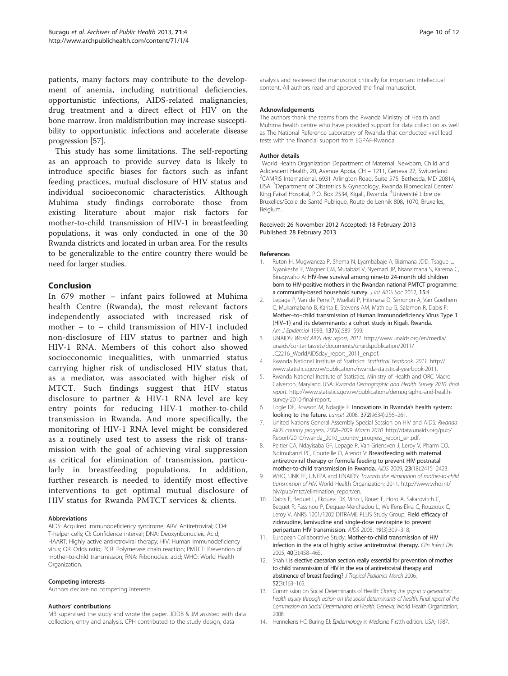<span id="page-9-0"></span>patients, many factors may contribute to the development of anemia, including nutritional deficiencies, opportunistic infections, AIDS-related malignancies, drug treatment and a direct effect of HIV on the bone marrow. Iron maldistribution may increase susceptibility to opportunistic infections and accelerate disease progression [[57](#page-11-0)].

This study has some limitations. The self-reporting as an approach to provide survey data is likely to introduce specific biases for factors such as infant feeding practices, mutual disclosure of HIV status and individual socioeconomic characteristics. Although Muhima study findings corroborate those from existing literature about major risk factors for mother-to-child transmission of HIV-1 in breastfeeding populations, it was only conducted in one of the 30 Rwanda districts and located in urban area. For the results to be generalizable to the entire country there would be need for larger studies.

# Conclusion

In 679 mother – infant pairs followed at Muhima health Centre (Rwanda), the most relevant factors independently associated with increased risk of mother – to – child transmission of HIV-1 included non-disclosure of HIV status to partner and high HIV-1 RNA. Members of this cohort also showed socioeconomic inequalities, with unmarried status carrying higher risk of undisclosed HIV status that, as a mediator, was associated with higher risk of MTCT. Such findings suggest that HIV status disclosure to partner & HIV-1 RNA level are key entry points for reducing HIV-1 mother-to-child transmission in Rwanda. And more specifically, the monitoring of HIV-1 RNA level might be considered as a routinely used test to assess the risk of transmission with the goal of achieving viral suppression as critical for elimination of transmission, particularly in breastfeeding populations. In addition, further research is needed to identify most effective interventions to get optimal mutual disclosure of HIV status for Rwanda PMTCT services & clients.

#### Abbreviations

AIDS: Acquired immunodeficiency syndrome; ARV: Antiretroviral; CD4: T-helper cells; CI: Confidence interval; DNA: Deoxyribonucleic Acid; HAART: Highly active antiretroviral therapy; HIV: Human immunodeficiency virus; OR: Odds ratio; PCR: Polymerase chain reaction; PMTCT: Prevention of mother-to-child transmission; RNA: Ribonucleic acid; WHO: World Health Organization.

#### Competing interests

Authors declare no competing interests.

#### Authors' contributions

MB supervised the study and wrote the paper. JDDB & JM assisted with data collection, entry and analysis. CPH contributed to the study design, data

analysis and reviewed the manuscript critically for important intellectual content. All authors read and approved the final manuscript.

#### Acknowledgements

The authors thank the teams from the Rwanda Ministry of Health and Muhima health centre who have provided support for data collection as well as The National Reference Laboratory of Rwanda that conducted viral load tests with the financial support from EGPAF-Rwanda.

#### Author details

<sup>1</sup>World Health Organization Department of Maternal, Newborn, Child and Adolescent Health, 20, Avenue Appia, CH – 1211, Geneva 27, Switzerland. <sup>2</sup> <sup>2</sup>CAMRIS International, 6931 Arlington Road, Suite 575, Bethesda, MD 20814, USA. <sup>3</sup>Department of Obstetrics & Gynecology, Rwanda Biomedical Center/ King Faisal Hospital, P.O. Box 2534, Kigali, Rwanda. <sup>4</sup>Université Libre de Bruxelles/Ecole de Santé Publique, Route de Lennik 808, 1070, Bruxelles, Belgium.

#### Received: 26 November 2012 Accepted: 18 February 2013 Published: 28 February 2013

#### References

- 1. Ruton H, Mugwaneza P, Shema N, Lyambabaje A, Bizimana JDD, Tsague L, Nyankesha E, Wagner CM, Mutabazi V, Nyemazi JP, Nsanzimana S, Karema C, Binagwaho A: HIV-free survival among nine-to 24-month old children born to HIV-positive mothers in the Rwandan national PMTCT programme: a community-based household survey. J Int AIDS Soc 2012, 15:4.
- 2. Lepage P, Van de Perre P, Msellati P, Hitimana D, Simonon A, Van Goethem C, Mukamabano B, Karita E, Stevens AM, Mathieu G, Salamon R, Dabis F: Mother–to–child transmission of Human Immunodeficiency Virus Type 1 (HIV–1) and its determinants: a cohort study in Kigali, Rwanda. Am J Epidemiol 1993, 137(6):589–599.
- 3. UNAIDS: World AIDS day report, 2011. [http://www.unaids.org/en/media/](http://www.unaids.org/en/media/unaids/contentassets/documents/unaidspublication/2011/JC2216_WorldAIDSday_report_2011_en.pdf) [unaids/contentassets/documents/unaidspublication/2011/](http://www.unaids.org/en/media/unaids/contentassets/documents/unaidspublication/2011/JC2216_WorldAIDSday_report_2011_en.pdf) [JC2216\\_WorldAIDSday\\_report\\_2011\\_en.pdf.](http://www.unaids.org/en/media/unaids/contentassets/documents/unaidspublication/2011/JC2216_WorldAIDSday_report_2011_en.pdf)
- 4. Rwanda National Institute of Statistics: Statistical Yearbook, 2011. [http://](http://www.statistics.gov.rw/publications/rwanda-statistical-yearbook-2011) [www.statistics.gov.rw/publications/rwanda-statistical-yearbook-2011](http://www.statistics.gov.rw/publications/rwanda-statistical-yearbook-2011).
- 5. Rwanda National Institute of Statistics, Ministry of Health and ORC Macro Calverton, Maryland USA: Rwanda Demographic and Health Survey 2010: final report. [http://www.statistics.gov.rw/publications/demographic-and-health](http://www.statistics.gov.rw/publications/demographic-and-health-survey-2010-final-report)[survey-2010-final-report.](http://www.statistics.gov.rw/publications/demographic-and-health-survey-2010-final-report)
- 6. Logie DE, Rowson M, Ndagije F: Innovations in Rwanda's health system: looking to the future. Lancet 2008, 372(9634):256–261.
- 7. United Nations General Assembly Special Session on HIV and AIDS: Rwanda AIDS country progress, 2008–2009. March 2010. [http://data.unaids.org/pub/](http://data.unaids.org/pub/Report/2010/rwanda_2010_country_progress_report_en.pdf) [Report/2010/rwanda\\_2010\\_country\\_progress\\_report\\_en.pdf](http://data.unaids.org/pub/Report/2010/rwanda_2010_country_progress_report_en.pdf).
- 8. Peltier CA, Ndayisaba GF, Lepage P, Van Griensven J, Leroy V, Pharm CO, Ndimubanzi PC, Courteille O, Arendt V: Breastfeeding with maternal antiretroviral therapy or formula feeding to prevent HIV postnatal mother-to-child transmission in Rwanda. AIDS 2009, 23(18):2415–2423.
- 9. WHO, UNICEF, UNFPA and UNAIDS: Towards the elimination of mother-to-child transmission of HIV. World Health Organization; 2011. [http://www.who.int/](http://www.who.int/hiv/pub/mtct/elimination_report/en) [hiv/pub/mtct/elimination\\_report/en.](http://www.who.int/hiv/pub/mtct/elimination_report/en)
- 10. Dabis F, Bequet L, Ekouevi DK, Viho I, Rouet F, Horo A, Sakarovitch C, Bequet R, Fassinou P, Dequae-Merchadou L, Welffens-Ekra C, Rouzioux C, Leroy V, ANRS 1201/1202 DITRAME PLUS Study Group: Field efficacy of zidovudine, lamivudine and single-dose nevirapine to prevent peripartum HIV transmission. AIDS 2005, 19(3):309-318.
- 11. European Collaborative Study: Mother-to-child transmission of HIV infection in the era of highly active antiretroviral therapy. Clin Infect Dis 2005, 40(3):458–465.
- 12. Shah I: Is elective caesarian section really essential for prevention of mother to child transmission of HIV in the era of antiretroviral therapy and abstinence of breast feeding? J Tropical Pediatrics March 2006, 52(3):163–165.
- 13. Commission on Social Determinants of Health: Closing the gap in a generation: health equity through action on the social determinants of health. Final report of the Commission on Social Determinants of Health. Geneva: World Health Organization; 2008.
- 14. Hennekens HC, Buring EJ: Epidemiology in Medicine. Firstth edition. USA; 1987.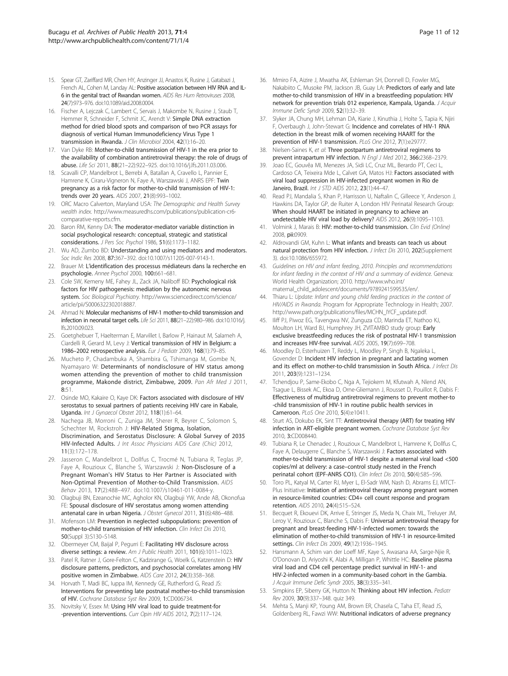- <span id="page-10-0"></span>15. Spear GT, Zariffard MR, Chen HY, Anzinger JJ, Anastos K, Rusine J, Gatabazi J, French AL, Cohen M, Landay AL: Positive association between HIV RNA and IL-6 in the genital tract of Rwandan women. AIDS Res Hum Retroviruses 2008, 24(7):973–976. doi[:10.1089/aid.2008.0004.](http://dx.doi.org/10.1089/aid.2008.0004)
- 16. Fischer A, Lejczak C, Lambert C, Servais J, Makombe N, Rusine J, Staub T, Hemmer R, Schneider F, Schmit JC, Arendt V: Simple DNA extraction method for dried blood spots and comparison of two PCR assays for diagnosis of vertical Human Immunodeficiency Virus Type 1 transmission in Rwanda. J Clin Microbiol 2004, 42(1):16–20.
- 17. Van Dyke RB: Mother-to-child transmission of HIV-1 in the era prior to the availability of combination antiretroviral therapy: the role of drugs of abuse. Life Sci 2011, 88(21–22):922–925. doi:[10.1016/j.lfs.2011.03.006.](http://dx.doi.org/10.1016/j.lfs.2011.03.006)
- 18. Scavalli CP, Mandelbrot L, Berrebi A, Batallan A, Cravello L, Pannier E, Hamrene K, Ciraru-Vigneron N, Faye A, Warszawski J, ANRS EPF: Twin pregnancy as a risk factor for mother-to-child transmission of HIV-1: trends over 20 years. AIDS 2007, 21(8):993–1002.
- 19. ORC Macro Calverton, Maryland USA: The Demographic and Health Survey wealth index. [http://www.measuredhs.com/publications/publication-cr6](http://www.measuredhs.com/publications/publication-cr6-comparative-reports.cfm) [comparative-reports.cfm.](http://www.measuredhs.com/publications/publication-cr6-comparative-reports.cfm)
- 20. Baron RM, Kenny DA: The moderator-mediator variable distinction in social psychological research: conceptual, strategic and statistical considerations. J Pers Soc Psychol 1986, 51(6):1173–1182.
- 21. Wu AD, Zumbo BD: Understanding and using mediators and moderators. Soc Indic Res 2008, 87:367–392. doi:[10.1007/s11205-007-9143-1](http://dx.doi.org/10.1007/s11205-007-9143-1).
- 22. Brauer M: L'identification des processus médiateurs dans la recherche en psychologie. Annee Psychol 2000, 100:661–681.
- 23. Cole SW, Kemeny ME, Fahey JL, Zack JA, Naliboff BD: Psychological risk factors for HIV pathogenesis: mediation by the autonomic nervous system. Soc Biological Psychiatry. [http://www.sciencedirect.com/science/](http://www.sciencedirect.com/science/article/pii/S0006322302018887) [article/pii/S0006322302018887](http://www.sciencedirect.com/science/article/pii/S0006322302018887).
- 24. Ahmad N: Molecular mechanisms of HIV-1 mother-to-child transmission and infection in neonatal target cells. Life Sci 2011, 88(21–22):980–986. doi:[10.1016/j.](http://dx.doi.org/10.1016/j.lfs.2010.09.023) [lfs.2010.09.023](http://dx.doi.org/10.1016/j.lfs.2010.09.023).
- 25. Goetghebuer T, Haelterman E, Marvillet I, Barlow P, Hainaut M, Salameh A, Ciardelli R, Gerard M, Levy J: Vertical transmission of HIV in Belgium: a 1986–2002 retrospective analysis. Eur J Pediatr 2009, 168(1):79–85.
- 26. Mucheto P, Chadambuka A, Shambira G, Tshimanga M, Gombe N, Nyamayaro W: Determinants of nondisclosure of HIV status among women attending the prevention of mother to child transmission programme, Makonde district, Zimbabwe, 2009. Pan Afr Med J 2011, 8:51.
- 27. Osinde MO, Kakaire O, Kaye DK: Factors associated with disclosure of HIV serostatus to sexual partners of patients receiving HIV care in Kabale, Uganda. Int J Gynaecol Obstet 2012, 118(1):61–64.
- 28. Nachega JB, Morroni C, Zuniga JM, Sherer R, Beyrer C, Solomon S, Schechter M, Rockstroh J: HIV-Related Stigma, Isolation, Discrimination, and Serostatus Disclosure: A Global Survey of 2035 HIV-Infected Adults. J Int Assoc Physicians AIDS Care (Chic) 2012, 11(3):172–178.
- 29. Jasseron C, Mandelbrot L, Dollfus C, Trocmé N, Tubiana R, Teglas JP, Faye A, Rouzioux C, Blanche S, Warszawski J: Non-Disclosure of a Pregnant Woman's HIV Status to Her Partner is Associated with Non-Optimal Prevention of Mother-to-Child Transmission. AIDS Behav 2013, 17(2):488–497. doi:[10.1007/s10461-011-0084-y.](http://dx.doi.org/10.1007/s10461-011-0084-y)
- 30. Olagbuji BN, Ezeanochie MC, Agholor KN, Olagbuji YW, Ande AB, Okonofua FE: Spousal disclosure of HIV serostatus among women attending antenatal care in urban Nigeria. J Obstet Gynecol 2011, 31(6):486–488.
- 31. Mofenson LM: Prevention in neglected subpopulations: prevention of mother-to-child transmission of HIV infection. Clin Infect Dis 2010, 50(Suppl 3):S130–S148.
- 32. Obermeyer CM, Baijal P, Pegurri E: Facilitating HIV disclosure across diverse settings: a review. Am J Public Health 2011, 101(6):1011-1023.
- 33. Patel R, Ratner J, Gore-Felton C, Kadzirange G, Woelk G, Katzenstein D: HIV disclosure patterns, predictors, and psychosocial correlates among HIV positive women in Zimbabwe. AIDS Care 2012, 24(3):358–368.
- 34. Horvath T, Madi BC, Iuppa IM, Kennedy GE, Rutherford G, Read JS: Interventions for preventing late postnatal mother-to-child transmission of HIV. Cochrane Database Syst Rev 2009, 1:CD006734.
- 35. Novitsky V, Essex M: Using HIV viral load to guide treatment-for -prevention interventions. Curr Opin HIV AIDS 2012, 7(2):117-124.
- 36. Mmiro FA, Aizire J, Mwatha AK, Eshleman SH, Donnell D, Fowler MG, Nakabiito C, Musoke PM, Jackson JB, Guay LA: Predictors of early and late mother-to-child transmission of HIV in a breastfeeding population: HIV network for prevention trials 012 experience, Kampala, Uganda. J Acquir Immune Defic Syndr 2009, 52(1):32–39.
- 37. Slyker JA, Chung MH, Lehman DA, Kiarie J, Kinuthia J, Holte S, Tapia K, Njiri F, Overbaugh J, John-Stewart G: Incidence and correlates of HIV-1 RNA detection in the breast milk of women receiving HAART for the prevention of HIV-1 transmission. PLoS One 2012, 7(1):e29777.
- 38. Nielsen-Saines K, et al: Three postpartum antiretroviral regimens to prevent intrapartum HIV infection. N Engl J Med 2012, 366:2368-2379.
- 39. Joao EC, Gouvêa MI, Menezes JA, Sidi LC, Cruz ML, Berardo PT, Ceci L, Cardoso CA, Teixeira Mde L, Calvet GA, Matos HJ: Factors associated with viral load suppression in HIV-infected pregnant women in Rio de Janeiro, Brazil. Int J STD AIDS 2012, 23(1):44–47.
- 40. Read PJ, Mandalia S, Khan P, Harrisson U, Naftalin C, Gilleece Y, Anderson J, Hawkins DA, Taylor GP, de Ruiter A, London HIV Perinatal Research Group: When should HAART be initiated in pregnancy to achieve an undetectable HIV viral load by delivery? AIDS 2012, 26(9):1095–1103.
- 41. Volmink J, Marais B: HIV: mother-to-child transmission. Clin Evid (Online) 2008, pii:0909.
- 42. Aldrovandi GM, Kuhn L: What infants and breasts can teach us about natural protection from HIV infection. J Infect Dis 2010, 202(Supplement 3). doi:[10.1086/655972](http://dx.doi.org/10.1086/655972).
- 43. Guidelines on HIV and infant feeding, 2010. Principles and recommendations for infant feeding in the context of HIV and a summary of evidence. Geneva: World Health Organization; 2010. [http://www.who.int/](http://www.who.int/maternal_child_adolescent/documents/9789241599535/en/) [maternal\\_child\\_adolescent/documents/9789241599535/en/.](http://www.who.int/maternal_child_adolescent/documents/9789241599535/en/)
- Thiaru L: Update: Infant and young child feeding practices in the context of HIV/AIDS in Rwanda. Program for Appropriate Technology in Health; 2007. [http://www.path.org/publications/files/MCHN\\_IYCF\\_update.pdf.](http://www.path.org/publications/files/MCHN_IYCF_update.pdf)
- 45. Iliff PJ, Piwoz EG, Tavengwa NV, Zunguza CD, Marinda ET, Nathoo KJ, Moulton LH, Ward BJ, Humphrey JH, ZVITAMBO study group: Early exclusive breastfeeding reduces the risk of postnatal HIV-1 transmission and increases HIV-free survival. AIDS 2005, 19(7):699–708.
- 46. Moodley D, Esterhuizen T, Reddy L, Moodley P, Singh B, Ngaleka L, Govender D: Incident HIV infection in pregnant and lactating women and its effect on mother-to-child transmission in South Africa. J Infect Dis 2011, 203(9):1231–1234.
- 47. Tchendjou P, Same-Ekobo C, Nga A, Tejiokem M, Kfutwah A, Nlend AN, Tsague L, Bissek AC, Ekoa D, Orne-Gliemann J, Rousset D, Pouillot R, Dabis F: Effectiveness of multidrug antiretroviral regimens to prevent mother-to -child transmission of HIV-1 in routine public health services in Cameroon. PLoS One 2010, 5(4):e10411.
- 48. Sturt AS, Dokubo EK, Sint TT: Antiretroviral therapy (ART) for treating HIV infection in ART-eligible pregnant women. Cochrane Database Syst Rev 2010, 3:CD008440.
- 49. Tubiana R, Le Chenadec J, Rouzioux C, Mandelbrot L, Hamrene K, Dollfus C, Faye A, Delaugerre C, Blanche S, Warszawski J: Factors associated with mother-to-child transmission of HIV-1 despite a maternal viral load <500 copies/ml at delivery: a case–control study nested in the French perinatal cohort (EPF-ANRS CO1). Clin Infect Dis 2010, 50(4):585-596.
- Toro PL, Katyal M, Carter RJ, Myer L, El-Sadr WM, Nash D, Abrams EJ, MTCT-Plus Initiative: Initiation of antiretroviral therapy among pregnant women in resource-limited countries: CD4+ cell count response and program retention. AIDS 2010, 24(4):515–524.
- 51. Becquet R, Ekouevi DK, Arrive E, Stringer JS, Meda N, Chaix ML, Treluyer JM, Leroy V, Rouzioux C, Blanche S, Dabis F: Universal antiretroviral therapy for pregnant and breast-feeding HIV-1-infected women: towards the elimination of mother-to-child transmission of HIV-1 in resource-limited settings. Clin Infect Dis 2009, 49(12):1936–1945.
- 52. Hansmann A, Schim van der Loeff MF, Kaye S, Awasana AA, Sarge-Njie R, O'Donovan D, Ariyoshi K, Alabi A, Milligan P, Whittle HC: Baseline plasma viral load and CD4 cell percentage predict survival in HIV-1- and HIV-2-infected women in a community-based cohort in the Gambia. J Acquir Immune Defic Syndr 2005, 38(3):335–341.
- 53. Simpkins EP, Siberry GK, Hutton N: Thinking about HIV infection. Pediatr Rev 2009, 30(9):337–348. quiz 349.
- 54. Mehta S, Manji KP, Young AM, Brown ER, Chasela C, Taha ET, Read JS, Goldenberg RL, Fawzi WW: Nutritional indicators of adverse pregnancy